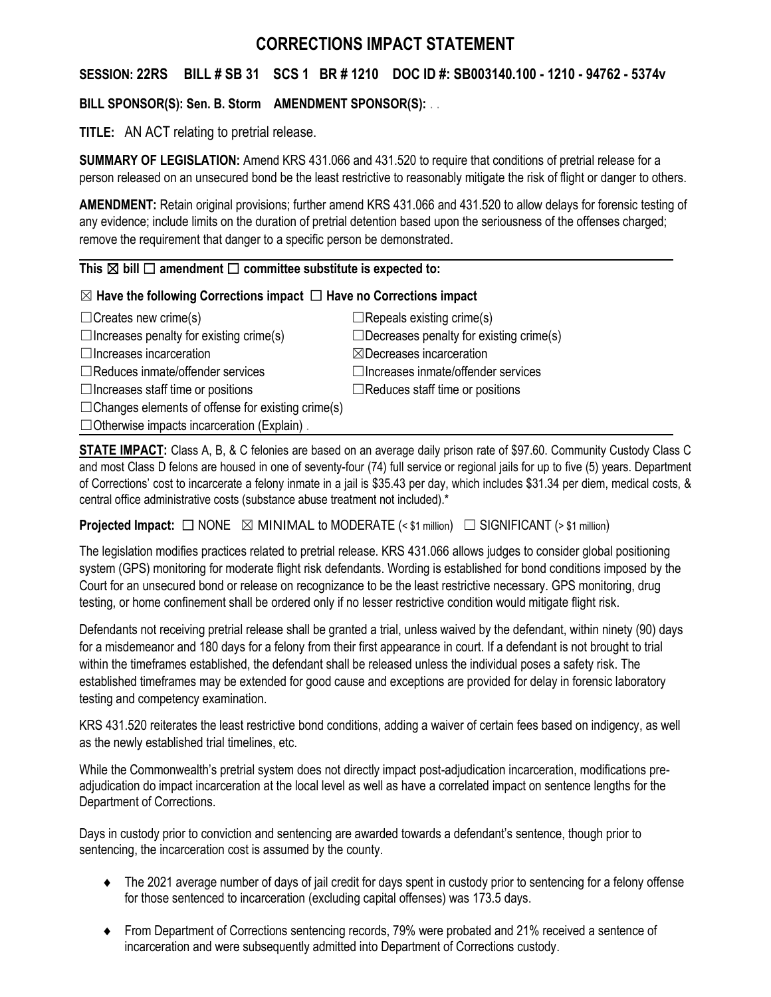# **CORRECTIONS IMPACT STATEMENT**

## **SESSION: 22RS BILL # SB 31 SCS 1 BR # 1210 DOC ID #: SB003140.100 - 1210 - 94762 - 5374v**

## **BILL SPONSOR(S): Sen. B. Storm AMENDMENT SPONSOR(S):** . .

**TITLE:** AN ACT relating to pretrial release.

**SUMMARY OF LEGISLATION:** Amend KRS 431.066 and 431.520 to require that conditions of pretrial release for a person released on an unsecured bond be the least restrictive to reasonably mitigate the risk of flight or danger to others.

**AMENDMENT:** Retain original provisions; further amend KRS 431.066 and 431.520 to allow delays for forensic testing of any evidence; include limits on the duration of pretrial detention based upon the seriousness of the offenses charged; remove the requirement that danger to a specific person be demonstrated.

#### This  $\boxtimes$  bill  $\Box$  amendment  $\Box$  committee substitute is expected to:

### ☒ **Have the following Corrections impact** ☐ **Have no Corrections impact**

| $\Box$ Creates new crime(s)                              | $\Box$ Repeals existing crime(s)               |
|----------------------------------------------------------|------------------------------------------------|
| $\Box$ Increases penalty for existing crime(s)           | $\Box$ Decreases penalty for existing crime(s) |
| $\Box$ Increases incarceration                           | $\boxtimes$ Decreases incarceration            |
| $\Box$ Reduces inmate/offender services                  | $\Box$ Increases inmate/offender services      |
| $\Box$ Increases staff time or positions                 | $\Box$ Reduces staff time or positions         |
| $\Box$ Changes elements of offense for existing crime(s) |                                                |
| $\Box$ Otherwise impacts incarceration (Explain).        |                                                |

**STATE IMPACT:** Class A, B, & C felonies are based on an average daily prison rate of \$97.60. Community Custody Class C and most Class D felons are housed in one of seventy-four (74) full service or regional jails for up to five (5) years. Department of Corrections' cost to incarcerate a felony inmate in a jail is \$35.43 per day, which includes \$31.34 per diem, medical costs, & central office administrative costs (substance abuse treatment not included).\*

**Projected Impact:**  $\Box$  NONE  $\boxtimes$  MINIMAL to MODERATE (< \$1 million)  $\Box$  SIGNIFICANT (> \$1 million)

The legislation modifies practices related to pretrial release. KRS 431.066 allows judges to consider global positioning system (GPS) monitoring for moderate flight risk defendants. Wording is established for bond conditions imposed by the Court for an unsecured bond or release on recognizance to be the least restrictive necessary. GPS monitoring, drug testing, or home confinement shall be ordered only if no lesser restrictive condition would mitigate flight risk.

Defendants not receiving pretrial release shall be granted a trial, unless waived by the defendant, within ninety (90) days for a misdemeanor and 180 days for a felony from their first appearance in court. If a defendant is not brought to trial within the timeframes established, the defendant shall be released unless the individual poses a safety risk. The established timeframes may be extended for good cause and exceptions are provided for delay in forensic laboratory testing and competency examination.

KRS 431.520 reiterates the least restrictive bond conditions, adding a waiver of certain fees based on indigency, as well as the newly established trial timelines, etc.

While the Commonwealth's pretrial system does not directly impact post-adjudication incarceration, modifications preadjudication do impact incarceration at the local level as well as have a correlated impact on sentence lengths for the Department of Corrections.

Days in custody prior to conviction and sentencing are awarded towards a defendant's sentence, though prior to sentencing, the incarceration cost is assumed by the county.

- The 2021 average number of days of jail credit for days spent in custody prior to sentencing for a felony offense for those sentenced to incarceration (excluding capital offenses) was 173.5 days.
- From Department of Corrections sentencing records, 79% were probated and 21% received a sentence of incarceration and were subsequently admitted into Department of Corrections custody.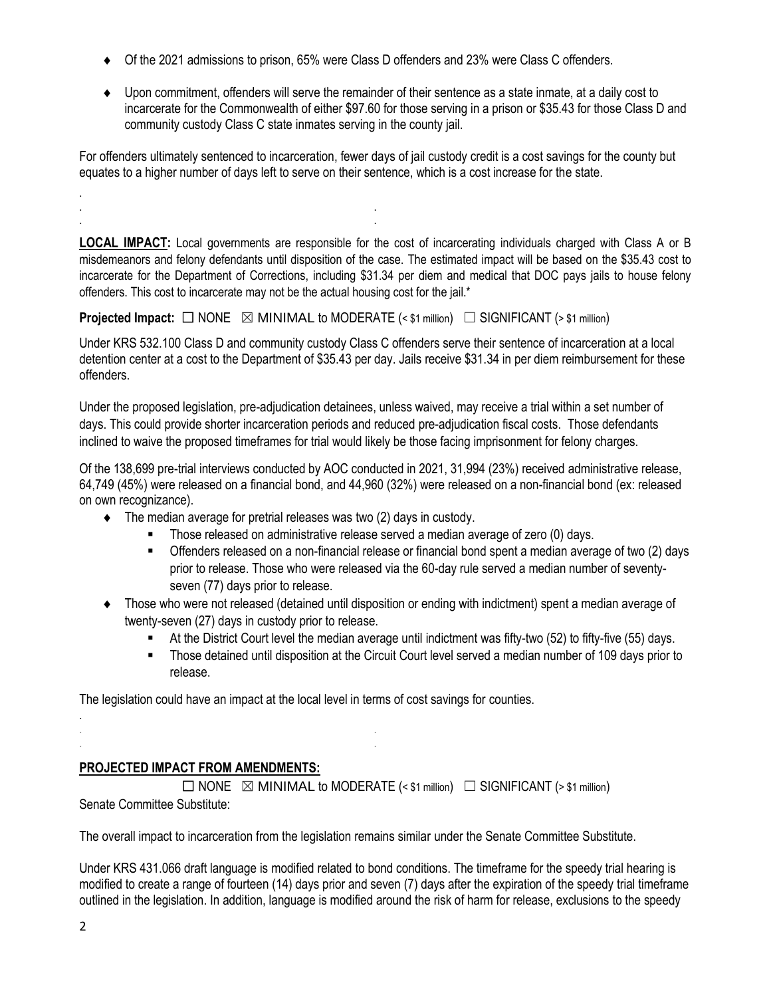- Of the 2021 admissions to prison, 65% were Class D offenders and 23% were Class C offenders.
- Upon commitment, offenders will serve the remainder of their sentence as a state inmate, at a daily cost to incarcerate for the Commonwealth of either \$97.60 for those serving in a prison or \$35.43 for those Class D and community custody Class C state inmates serving in the county jail.

For offenders ultimately sentenced to incarceration, fewer days of jail custody credit is a cost savings for the county but equates to a higher number of days left to serve on their sentence, which is a cost increase for the state.

**LOCAL IMPACT:** Local governments are responsible for the cost of incarcerating individuals charged with Class A or B misdemeanors and felony defendants until disposition of the case. The estimated impact will be based on the \$35.43 cost to incarcerate for the Department of Corrections, including \$31.34 per diem and medical that DOC pays jails to house felony offenders. This cost to incarcerate may not be the actual housing cost for the jail.\*

**Projected Impact:**  $\Box$  NONE  $\boxtimes$  MINIMAL to MODERATE (< \$1 million)  $\Box$  SIGNIFICANT (> \$1 million)

Under KRS 532.100 Class D and community custody Class C offenders serve their sentence of incarceration at a local detention center at a cost to the Department of \$35.43 per day. Jails receive \$31.34 in per diem reimbursement for these offenders.

Under the proposed legislation, pre-adjudication detainees, unless waived, may receive a trial within a set number of days. This could provide shorter incarceration periods and reduced pre-adjudication fiscal costs. Those defendants inclined to waive the proposed timeframes for trial would likely be those facing imprisonment for felony charges.

Of the 138,699 pre-trial interviews conducted by AOC conducted in 2021, 31,994 (23%) received administrative release, 64,749 (45%) were released on a financial bond, and 44,960 (32%) were released on a non-financial bond (ex: released on own recognizance).

 $\bullet$  The median average for pretrial releases was two (2) days in custody.

. . . .

- Those released on administrative release served a median average of zero (0) days.
- Offenders released on a non-financial release or financial bond spent a median average of two (2) days prior to release. Those who were released via the 60-day rule served a median number of seventyseven (77) days prior to release.
- Those who were not released (detained until disposition or ending with indictment) spent a median average of twenty-seven (27) days in custody prior to release.
	- At the District Court level the median average until indictment was fifty-two (52) to fifty-five (55) days.
	- Those detained until disposition at the Circuit Court level served a median number of 109 days prior to release.

The legislation could have an impact at the local level in terms of cost savings for counties.

## **PROJECTED IMPACT FROM AMENDMENTS:**

. . . .

 $\Box$  NONE  $\boxtimes$  MINIMAL to MODERATE (< \$1 million)  $\Box$  SIGNIFICANT (> \$1 million) Senate Committee Substitute:

The overall impact to incarceration from the legislation remains similar under the Senate Committee Substitute.

Under KRS 431.066 draft language is modified related to bond conditions. The timeframe for the speedy trial hearing is modified to create a range of fourteen (14) days prior and seven (7) days after the expiration of the speedy trial timeframe outlined in the legislation. In addition, language is modified around the risk of harm for release, exclusions to the speedy

.

.